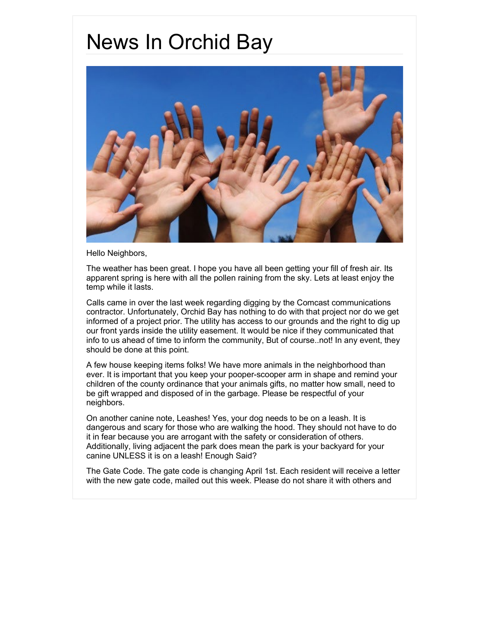## News In Orchid Bay



Hello Neighbors,

The weather has been great. I hope you have all been getting your fill of fresh air. Its apparent spring is here with all the pollen raining from the sky. Lets at least enjoy the temp while it lasts.

Calls came in over the last week regarding digging by the Comcast communications contractor. Unfortunately, Orchid Bay has nothing to do with that project nor do we get informed of a project prior. The utility has access to our grounds and the right to dig up our front yards inside the utility easement. It would be nice if they communicated that info to us ahead of time to inform the community, But of course..not! In any event, they should be done at this point.

A few house keeping items folks! We have more animals in the neighborhood than ever. It is important that you keep your pooper-scooper arm in shape and remind your children of the county ordinance that your animals gifts, no matter how small, need to be gift wrapped and disposed of in the garbage. Please be respectful of your neighbors.

On another canine note, Leashes! Yes, your dog needs to be on a leash. It is dangerous and scary for those who are walking the hood. They should not have to do it in fear because you are arrogant with the safety or consideration of others. Additionally, living adjacent the park does mean the park is your backyard for your canine UNLESS it is on a leash! Enough Said?

The Gate Code. The gate code is changing April 1st. Each resident will receive a letter with the new gate code, mailed out this week. Please do not share it with others and